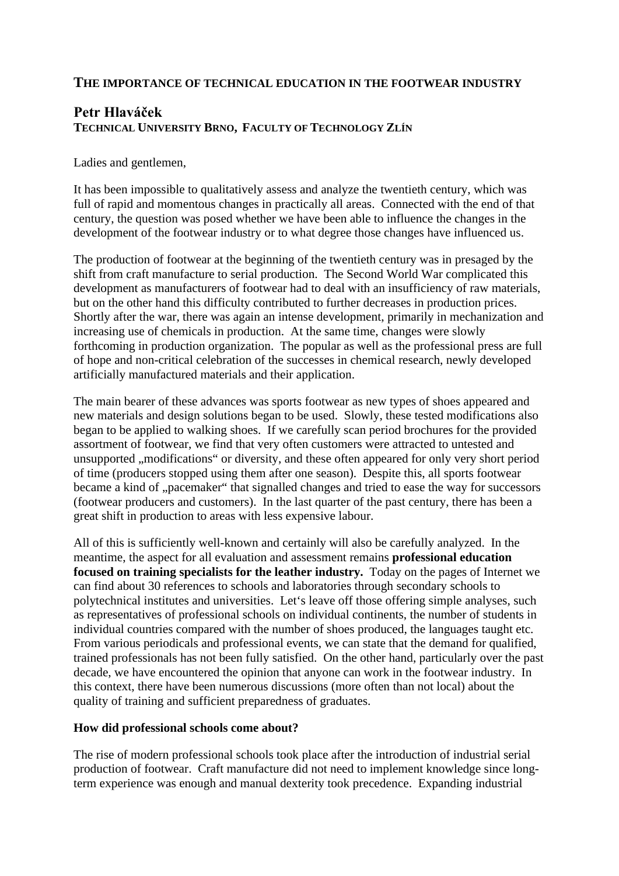## **THE IMPORTANCE OF TECHNICAL EDUCATION IN THE FOOTWEAR INDUSTRY**

## **Petr Hlaváček TECHNICAL UNIVERSITY BRNO, FACULTY OF TECHNOLOGY ZLÍN**

Ladies and gentlemen,

It has been impossible to qualitatively assess and analyze the twentieth century, which was full of rapid and momentous changes in practically all areas. Connected with the end of that century, the question was posed whether we have been able to influence the changes in the development of the footwear industry or to what degree those changes have influenced us.

The production of footwear at the beginning of the twentieth century was in presaged by the shift from craft manufacture to serial production. The Second World War complicated this development as manufacturers of footwear had to deal with an insufficiency of raw materials, but on the other hand this difficulty contributed to further decreases in production prices. Shortly after the war, there was again an intense development, primarily in mechanization and increasing use of chemicals in production. At the same time, changes were slowly forthcoming in production organization. The popular as well as the professional press are full of hope and non-critical celebration of the successes in chemical research, newly developed artificially manufactured materials and their application.

The main bearer of these advances was sports footwear as new types of shoes appeared and new materials and design solutions began to be used. Slowly, these tested modifications also began to be applied to walking shoes. If we carefully scan period brochures for the provided assortment of footwear, we find that very often customers were attracted to untested and unsupported ,, modifications " or diversity, and these often appeared for only very short period of time (producers stopped using them after one season). Despite this, all sports footwear became a kind of "pacemaker" that signalled changes and tried to ease the way for successors (footwear producers and customers). In the last quarter of the past century, there has been a great shift in production to areas with less expensive labour.

All of this is sufficiently well-known and certainly will also be carefully analyzed. In the meantime, the aspect for all evaluation and assessment remains **professional education focused on training specialists for the leather industry.** Today on the pages of Internet we can find about 30 references to schools and laboratories through secondary schools to polytechnical institutes and universities. Let's leave off those offering simple analyses, such as representatives of professional schools on individual continents, the number of students in individual countries compared with the number of shoes produced, the languages taught etc. From various periodicals and professional events, we can state that the demand for qualified, trained professionals has not been fully satisfied. On the other hand, particularly over the past decade, we have encountered the opinion that anyone can work in the footwear industry. In this context, there have been numerous discussions (more often than not local) about the quality of training and sufficient preparedness of graduates.

## **How did professional schools come about?**

The rise of modern professional schools took place after the introduction of industrial serial production of footwear. Craft manufacture did not need to implement knowledge since longterm experience was enough and manual dexterity took precedence. Expanding industrial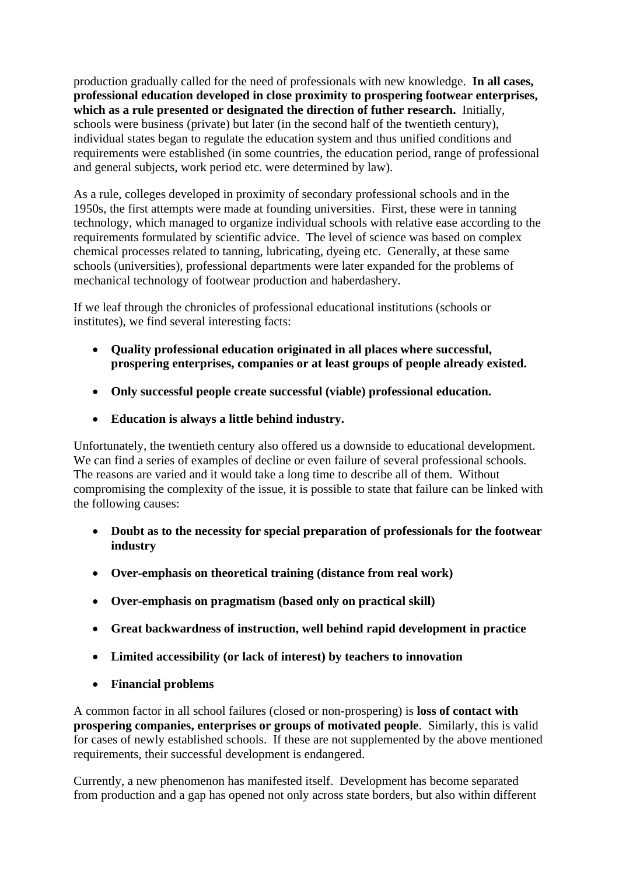production gradually called for the need of professionals with new knowledge. **In all cases, professional education developed in close proximity to prospering footwear enterprises, which as a rule presented or designated the direction of futher research.** Initially, schools were business (private) but later (in the second half of the twentieth century), individual states began to regulate the education system and thus unified conditions and requirements were established (in some countries, the education period, range of professional and general subjects, work period etc. were determined by law).

As a rule, colleges developed in proximity of secondary professional schools and in the 1950s, the first attempts were made at founding universities. First, these were in tanning technology, which managed to organize individual schools with relative ease according to the requirements formulated by scientific advice. The level of science was based on complex chemical processes related to tanning, lubricating, dyeing etc. Generally, at these same schools (universities), professional departments were later expanded for the problems of mechanical technology of footwear production and haberdashery.

If we leaf through the chronicles of professional educational institutions (schools or institutes), we find several interesting facts:

- **Quality professional education originated in all places where successful, prospering enterprises, companies or at least groups of people already existed.**
- **Only successful people create successful (viable) professional education.**
- **Education is always a little behind industry.**

Unfortunately, the twentieth century also offered us a downside to educational development. We can find a series of examples of decline or even failure of several professional schools. The reasons are varied and it would take a long time to describe all of them. Without compromising the complexity of the issue, it is possible to state that failure can be linked with the following causes:

- **Doubt as to the necessity for special preparation of professionals for the footwear industry**
- **Over-emphasis on theoretical training (distance from real work)**
- **Over-emphasis on pragmatism (based only on practical skill)**
- **Great backwardness of instruction, well behind rapid development in practice**
- **Limited accessibility (or lack of interest) by teachers to innovation**
- **Financial problems**

A common factor in all school failures (closed or non-prospering) is **loss of contact with prospering companies, enterprises or groups of motivated people**. Similarly, this is valid for cases of newly established schools. If these are not supplemented by the above mentioned requirements, their successful development is endangered.

Currently, a new phenomenon has manifested itself. Development has become separated from production and a gap has opened not only across state borders, but also within different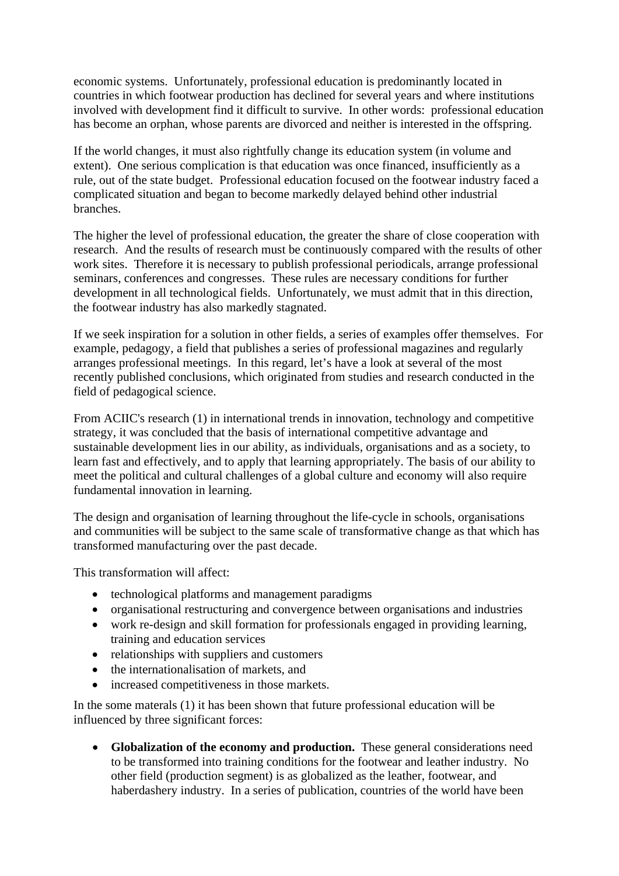economic systems. Unfortunately, professional education is predominantly located in countries in which footwear production has declined for several years and where institutions involved with development find it difficult to survive. In other words: professional education has become an orphan, whose parents are divorced and neither is interested in the offspring.

If the world changes, it must also rightfully change its education system (in volume and extent). One serious complication is that education was once financed, insufficiently as a rule, out of the state budget. Professional education focused on the footwear industry faced a complicated situation and began to become markedly delayed behind other industrial branches.

The higher the level of professional education, the greater the share of close cooperation with research. And the results of research must be continuously compared with the results of other work sites. Therefore it is necessary to publish professional periodicals, arrange professional seminars, conferences and congresses. These rules are necessary conditions for further development in all technological fields. Unfortunately, we must admit that in this direction, the footwear industry has also markedly stagnated.

If we seek inspiration for a solution in other fields, a series of examples offer themselves. For example, pedagogy, a field that publishes a series of professional magazines and regularly arranges professional meetings. In this regard, let's have a look at several of the most recently published conclusions, which originated from studies and research conducted in the field of pedagogical science.

From ACIIC's research (1) in international trends in innovation, technology and competitive strategy, it was concluded that the basis of international competitive advantage and sustainable development lies in our ability, as individuals, organisations and as a society, to learn fast and effectively, and to apply that learning appropriately. The basis of our ability to meet the political and cultural challenges of a global culture and economy will also require fundamental innovation in learning.

The design and organisation of learning throughout the life-cycle in schools, organisations and communities will be subject to the same scale of transformative change as that which has transformed manufacturing over the past decade.

This transformation will affect:

- technological platforms and management paradigms
- organisational restructuring and convergence between organisations and industries
- work re-design and skill formation for professionals engaged in providing learning, training and education services
- relationships with suppliers and customers
- the internationalisation of markets, and
- increased competitiveness in those markets.

In the some materals (1) it has been shown that future professional education will be influenced by three significant forces:

• **Globalization of the economy and production.** These general considerations need to be transformed into training conditions for the footwear and leather industry. No other field (production segment) is as globalized as the leather, footwear, and haberdashery industry. In a series of publication, countries of the world have been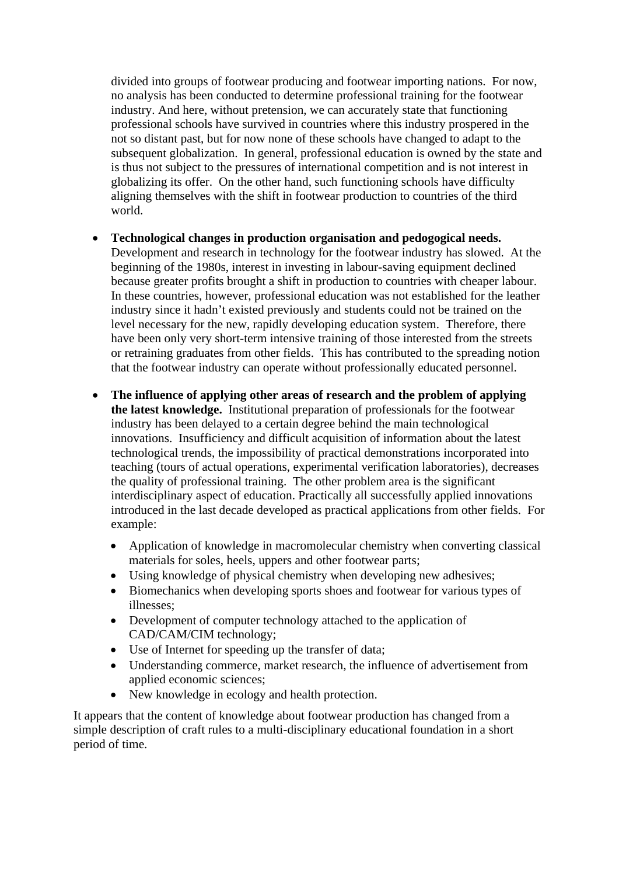divided into groups of footwear producing and footwear importing nations. For now, no analysis has been conducted to determine professional training for the footwear industry. And here, without pretension, we can accurately state that functioning professional schools have survived in countries where this industry prospered in the not so distant past, but for now none of these schools have changed to adapt to the subsequent globalization. In general, professional education is owned by the state and is thus not subject to the pressures of international competition and is not interest in globalizing its offer. On the other hand, such functioning schools have difficulty aligning themselves with the shift in footwear production to countries of the third world.

- **Technological changes in production organisation and pedogogical needs.** Development and research in technology for the footwear industry has slowed. At the beginning of the 1980s, interest in investing in labour-saving equipment declined because greater profits brought a shift in production to countries with cheaper labour. In these countries, however, professional education was not established for the leather industry since it hadn't existed previously and students could not be trained on the level necessary for the new, rapidly developing education system. Therefore, there have been only very short-term intensive training of those interested from the streets or retraining graduates from other fields. This has contributed to the spreading notion that the footwear industry can operate without professionally educated personnel.
- **The influence of applying other areas of research and the problem of applying the latest knowledge.** Institutional preparation of professionals for the footwear industry has been delayed to a certain degree behind the main technological innovations. Insufficiency and difficult acquisition of information about the latest technological trends, the impossibility of practical demonstrations incorporated into teaching (tours of actual operations, experimental verification laboratories), decreases the quality of professional training. The other problem area is the significant interdisciplinary aspect of education. Practically all successfully applied innovations introduced in the last decade developed as practical applications from other fields. For example:
	- Application of knowledge in macromolecular chemistry when converting classical materials for soles, heels, uppers and other footwear parts;
	- Using knowledge of physical chemistry when developing new adhesives;
	- Biomechanics when developing sports shoes and footwear for various types of illnesses;
	- Development of computer technology attached to the application of CAD/CAM/CIM technology;
	- Use of Internet for speeding up the transfer of data;
	- Understanding commerce, market research, the influence of advertisement from applied economic sciences;
	- New knowledge in ecology and health protection.

It appears that the content of knowledge about footwear production has changed from a simple description of craft rules to a multi-disciplinary educational foundation in a short period of time.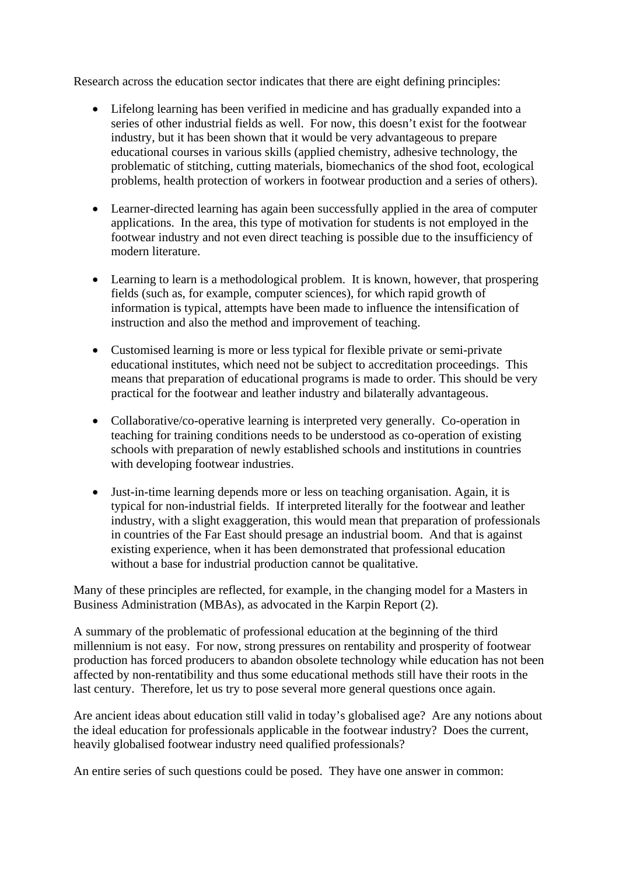Research across the education sector indicates that there are eight defining principles:

- Lifelong learning has been verified in medicine and has gradually expanded into a series of other industrial fields as well. For now, this doesn't exist for the footwear industry, but it has been shown that it would be very advantageous to prepare educational courses in various skills (applied chemistry, adhesive technology, the problematic of stitching, cutting materials, biomechanics of the shod foot, ecological problems, health protection of workers in footwear production and a series of others).
- Learner-directed learning has again been successfully applied in the area of computer applications. In the area, this type of motivation for students is not employed in the footwear industry and not even direct teaching is possible due to the insufficiency of modern literature.
- Learning to learn is a methodological problem. It is known, however, that prospering fields (such as, for example, computer sciences), for which rapid growth of information is typical, attempts have been made to influence the intensification of instruction and also the method and improvement of teaching.
- Customised learning is more or less typical for flexible private or semi-private educational institutes, which need not be subject to accreditation proceedings. This means that preparation of educational programs is made to order. This should be very practical for the footwear and leather industry and bilaterally advantageous.
- Collaborative/co-operative learning is interpreted very generally. Co-operation in teaching for training conditions needs to be understood as co-operation of existing schools with preparation of newly established schools and institutions in countries with developing footwear industries.
- Just-in-time learning depends more or less on teaching organisation. Again, it is typical for non-industrial fields. If interpreted literally for the footwear and leather industry, with a slight exaggeration, this would mean that preparation of professionals in countries of the Far East should presage an industrial boom. And that is against existing experience, when it has been demonstrated that professional education without a base for industrial production cannot be qualitative.

Many of these principles are reflected, for example, in the changing model for a Masters in Business Administration (MBAs), as advocated in the Karpin Report (2).

A summary of the problematic of professional education at the beginning of the third millennium is not easy. For now, strong pressures on rentability and prosperity of footwear production has forced producers to abandon obsolete technology while education has not been affected by non-rentatibility and thus some educational methods still have their roots in the last century. Therefore, let us try to pose several more general questions once again.

Are ancient ideas about education still valid in today's globalised age? Are any notions about the ideal education for professionals applicable in the footwear industry? Does the current, heavily globalised footwear industry need qualified professionals?

An entire series of such questions could be posed. They have one answer in common: